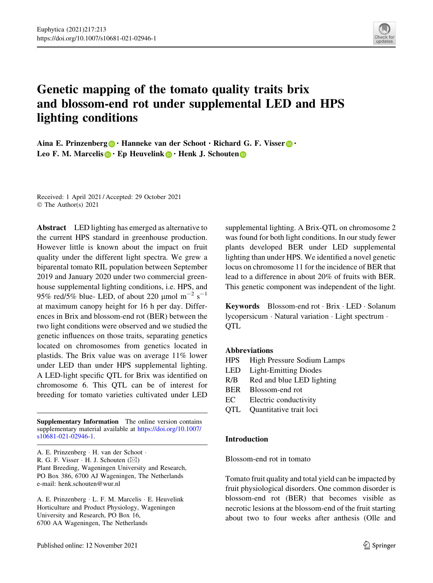

# Genetic mapping of the tomato quality traits brix and blossom-end rot under supplemental LED and HPS lighting conditions

Aina E. Prinzenberg  $\bullet \cdot$  Hanneke van der Schoot  $\cdot$  Richard G. F. Visser  $\bullet \cdot$ Leo F[.](http://orcid.org/0000-0002-9308-704X) M. Marcelis  $\mathbf{D} \cdot \mathbf{E}$ p Heuveli[n](http://orcid.org/0000-0003-4495-1951)k  $\mathbf{D} \cdot \mathbf{H}$ enk J. Schouten  $\mathbf{D}$ 

Received: 1 April 2021 / Accepted: 29 October 2021 © The Author(s) 2021

Abstract LED lighting has emerged as alternative to the current HPS standard in greenhouse production. However little is known about the impact on fruit quality under the different light spectra. We grew a biparental tomato RIL population between September 2019 and January 2020 under two commercial greenhouse supplemental lighting conditions, i.e. HPS, and 95% red/5% blue- LED, of about 220  $\mu$ mol m<sup>-2</sup> s<sup>-1</sup> at maximum canopy height for 16 h per day. Differences in Brix and blossom-end rot (BER) between the two light conditions were observed and we studied the genetic influences on those traits, separating genetics located on chromosomes from genetics located in plastids. The Brix value was on average 11% lower under LED than under HPS supplemental lighting. A LED-light specific QTL for Brix was identified on chromosome 6. This QTL can be of interest for breeding for tomato varieties cultivated under LED

Supplementary Information The online version contains supplementary material available at [https://doi.org/10.1007/](https://doi.org/10.1007/s10681-021-02946-1) [s10681-021-02946-1](https://doi.org/10.1007/s10681-021-02946-1).

A. E. Prinzenberg - H. van der Schoot - R. G. F. Visser  $\cdot$  H. J. Schouten ( $\boxtimes$ ) Plant Breeding, Wageningen University and Research, PO Box 386, 6700 AJ Wageningen, The Netherlands e-mail: henk.schouten@wur.nl

A. E. Prinzenberg - L. F. M. Marcelis - E. Heuvelink Horticulture and Product Physiology, Wageningen University and Research, PO Box 16, 6700 AA Wageningen, The Netherlands

supplemental lighting. A Brix-QTL on chromosome 2 was found for both light conditions. In our study fewer plants developed BER under LED supplemental lighting than under HPS. We identified a novel genetic locus on chromosome 11 for the incidence of BER that lead to a difference in about 20% of fruits with BER. This genetic component was independent of the light.

Keywords Blossom-end rot · Brix · LED · Solanum lycopersicum - Natural variation - Light spectrum - **QTL** 

# Abbreviations

- HPS High Pressure Sodium Lamps
- LED Light-Emitting Diodes
- R/B Red and blue LED lighting
- BER Blossom-end rot
- EC Electric conductivity
- QTL Quantitative trait loci

#### Introduction

Blossom-end rot in tomato

Tomato fruit quality and total yield can be impacted by fruit physiological disorders. One common disorder is blossom-end rot (BER) that becomes visible as necrotic lesions at the blossom-end of the fruit starting about two to four weeks after anthesis (Olle and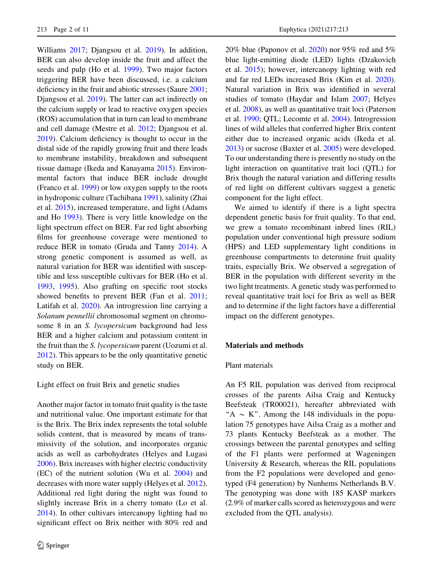Williams [2017;](#page-10-0) Djangsou et al. [2019\)](#page-9-0). In addition, BER can also develop inside the fruit and affect the seeds and pulp (Ho et al. [1999](#page-9-0)). Two major factors triggering BER have been discussed, i.e. a calcium deficiency in the fruit and abiotic stresses (Saure [2001](#page-10-0); Djangsou et al. [2019\)](#page-9-0). The latter can act indirectly on the calcium supply or lead to reactive oxygen species (ROS) accumulation that in turn can lead to membrane and cell damage (Mestre et al. [2012](#page-10-0); Djangsou et al. [2019\)](#page-9-0). Calcium deficiency is thought to occur in the distal side of the rapidly growing fruit and there leads to membrane instability, breakdown and subsequent tissue damage (Ikeda and Kanayama [2015\)](#page-9-0). Environmental factors that induce BER include drought (Franco et al. [1999](#page-9-0)) or low oxygen supply to the roots in hydroponic culture (Tachibana [1991](#page-10-0)), salinity (Zhai et al. [2015](#page-10-0)), increased temperature, and light (Adams and Ho [1993](#page-9-0)). There is very little knowledge on the light spectrum effect on BER. Far red light absorbing films for greenhouse coverage were mentioned to reduce BER in tomato (Gruda and Tanny [2014](#page-9-0)). A strong genetic component is assumed as well, as natural variation for BER was identified with susceptible and less susceptible cultivars for BER (Ho et al. [1993,](#page-9-0) [1995](#page-9-0)). Also grafting on specific root stocks showed benefits to prevent BER (Fan et al. [2011](#page-9-0); Latifah et al. [2020\)](#page-9-0). An introgression line carrying a Solanum pennellii chromosomal segment on chromosome 8 in an S. lycopersicum background had less BER and a higher calcium and potassium content in the fruit than the S. lycopersicum parent (Uozumi et al. [2012\)](#page-10-0). This appears to be the only quantitative genetic study on BER.

#### Light effect on fruit Brix and genetic studies

Another major factor in tomato fruit quality is the taste and nutritional value. One important estimate for that is the Brix. The Brix index represents the total soluble solids content, that is measured by means of transmissivity of the solution, and incorporates organic acids as well as carbohydrates (Helyes and Lugasi [2006\)](#page-9-0). Brix increases with higher electric conductivity (EC) of the nutrient solution (Wu et al. [2004](#page-10-0)) and decreases with more water supply (Helyes et al. [2012](#page-9-0)). Additional red light during the night was found to slightly increase Brix in a cherry tomato (Lo et al. [2014\)](#page-9-0). In other cultivars intercanopy lighting had no significant effect on Brix neither with 80% red and 20% blue (Paponov et al.  $2020$ ) nor 95% red and 5% blue light-emitting diode (LED) lights (Dzakovich et al. [2015](#page-9-0)); however, intercanopy lighting with red and far red LEDs increased Brix (Kim et al. [2020](#page-9-0)). Natural variation in Brix was identified in several studies of tomato (Haydar and Islam [2007](#page-9-0); Helyes et al. [2008\)](#page-9-0), as well as quantitative trait loci (Paterson et al. [1990;](#page-10-0) QTL; Lecomte et al. [2004\)](#page-9-0). Introgression lines of wild alleles that conferred higher Brix content either due to increased organic acids (Ikeda et al. [2013\)](#page-9-0) or sucrose (Baxter et al. [2005\)](#page-9-0) were developed. To our understanding there is presently no study on the light interaction on quantitative trait loci (QTL) for Brix though the natural variation and differing results of red light on different cultivars suggest a genetic component for the light effect.

We aimed to identify if there is a light spectra dependent genetic basis for fruit quality. To that end, we grew a tomato recombinant inbred lines (RIL) population under conventional high pressure sodium (HPS) and LED supplementary light conditions in greenhouse compartments to determine fruit quality traits, especially Brix. We observed a segregation of BER in the population with different severity in the two light treatments. A genetic study was performed to reveal quantitative trait loci for Brix as well as BER and to determine if the light factors have a differential impact on the different genotypes.

#### Materials and methods

#### Plant materials

An F5 RIL population was derived from reciprocal crosses of the parents Ailsa Craig and Kentucky Beefsteak (TR00021), hereafter abbreviated with "A  $\sim$  K". Among the 148 individuals in the population 75 genotypes have Ailsa Craig as a mother and 73 plants Kentucky Beefsteak as a mother. The crossings between the parental genotypes and selfing of the F1 plants were performed at Wageningen University & Research, whereas the RIL populations from the F2 populations were developed and genotyped (F4 generation) by Nunhems Netherlands B.V. The genotyping was done with 185 KASP markers (2.9% of marker calls scored as heterozygous and were excluded from the QTL analysis).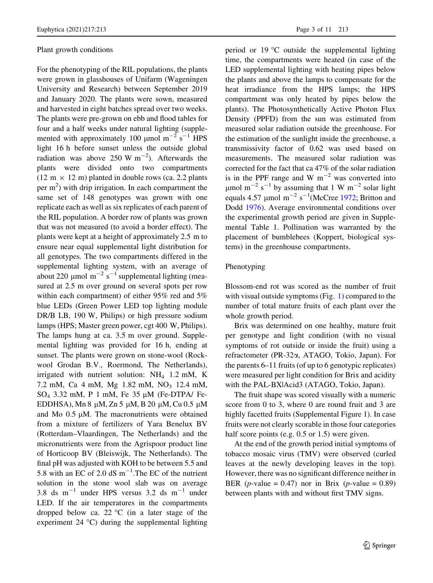#### Plant growth conditions

For the phenotyping of the RIL populations, the plants were grown in glasshouses of Unifarm (Wageningen University and Research) between September 2019 and January 2020. The plants were sown, measured and harvested in eight batches spread over two weeks. The plants were pre-grown on ebb and flood tables for four and a half weeks under natural lighting (supplemented with approximately 100  $\mu$ mol m<sup>-2</sup> s<sup>-1</sup> HPS light 16 h before sunset unless the outside global radiation was above 250 W  $\text{m}^{-2}$ ). Afterwards the plants were divided onto two compartments  $(12 \text{ m} \times 12 \text{ m})$  planted in double rows (ca. 2.2 plants per  $m<sup>2</sup>$ ) with drip irrigation. In each compartment the same set of 148 genotypes was grown with one replicate each as well as six replicates of each parent of the RIL population. A border row of plants was grown that was not measured (to avoid a border effect). The plants were kept at a height of approximately 2.5 m to ensure near equal supplemental light distribution for all genotypes. The two compartments differed in the supplemental lighting system, with an average of about 220  $\mu$ mol m<sup>-2</sup> s<sup>-1</sup> supplemental lighting (measured at 2.5 m over ground on several spots per row within each compartment) of either 95% red and 5% blue LEDs (Green Power LED top lighting module DR/B LB, 190 W, Philips) or high pressure sodium lamps (HPS; Master green power, cgt 400 W, Philips). The lamps hung at ca. 3.5 m over ground. Supplemental lighting was provided for 16 h, ending at sunset. The plants were grown on stone-wool (Rockwool Grodan B.V., Roermond, The Netherlands), irrigated with nutrient solution:  $NH<sub>4</sub>$  1.2 mM, K 7.2 mM, Ca 4 mM, Mg 1.82 mM, NO<sub>3</sub> 12.4 mM, SO<sub>4</sub> 3.32 mM, P 1 mM, Fe 35  $\mu$ M (Fe-DTPA/ Fe-EDDHSA), Mn 8  $\mu$ M, Zn 5  $\mu$ M, B 20  $\mu$ M, Cu 0.5  $\mu$ M and Mo  $0.5 \mu M$ . The macronutrients were obtained from a mixture of fertilizers of Yara Benelux BV (Rotterdam–Vlaardingen, The Netherlands) and the micronutrients were from the Agrispoor product line of Horticoop BV (Bleiswijk, The Netherlands). The final pH was adjusted with KOH to be between 5.5 and 5.8 with an EC of 2.0 dS  $m^{-1}$ . The EC of the nutrient solution in the stone wool slab was on average 3.8 ds  $m^{-1}$  under HPS versus 3.2 ds  $m^{-1}$  under LED. If the air temperatures in the compartments dropped below ca. 22  $\degree$ C (in a later stage of the experiment  $24 \text{ }^{\circ}\text{C}$ ) during the supplemental lighting period or  $19^{\circ}$ C outside the supplemental lighting time, the compartments were heated (in case of the LED supplemental lighting with heating pipes below the plants and above the lamps to compensate for the heat irradiance from the HPS lamps; the HPS compartment was only heated by pipes below the plants). The Photosynthetically Active Photon Flux Density (PPFD) from the sun was estimated from measured solar radiation outside the greenhouse. For the estimation of the sunlight inside the greenhouse, a transmissivity factor of 0.62 was used based on measurements. The measured solar radiation was corrected for the fact that ca 47% of the solar radiation is in the PPF range and W  $m^{-2}$  was converted into  $\mu$ mol m<sup>-2</sup> s<sup>-1</sup> by assuming that 1 W m<sup>-2</sup> solar light equals 4.57  $\mu$ mol m<sup>-2</sup> s<sup>-1</sup>(McCree [1972;](#page-10-0) Britton and Dodd [1976](#page-9-0)). Average environmental conditions over the experimental growth period are given in Supplemental Table 1. Pollination was warranted by the placement of bumblebees (Koppert, biological systems) in the greenhouse compartments.

# Phenotyping

Blossom-end rot was scored as the number of fruit with visual outside symptoms (Fig. [1\)](#page-3-0) compared to the number of total mature fruits of each plant over the whole growth period.

Brix was determined on one healthy, mature fruit per genotype and light condition (with no visual symptoms of rot outside or inside the fruit) using a refractometer (PR-32a, ATAGO, Tokio, Japan). For the parents 6–11 fruits (of up to 6 genotypic replicates) were measured per light condition for Brix and acidity with the PAL-BX|Acid3 (ATAGO, Tokio, Japan).

The fruit shape was scored visually with a numeric score from 0 to 3, where 0 are round fruit and 3 are highly facetted fruits (Supplemental Figure 1). In case fruits were not clearly scorable in those four categories half score points (e.g. 0.5 or 1.5) were given.

At the end of the growth period initial symptoms of tobacco mosaic virus (TMV) were observed (curled leaves at the newly developing leaves in the top). However, there was no significant difference neither in BER (*p*-value = 0.47) nor in Brix (*p*-value = 0.89) between plants with and without first TMV signs.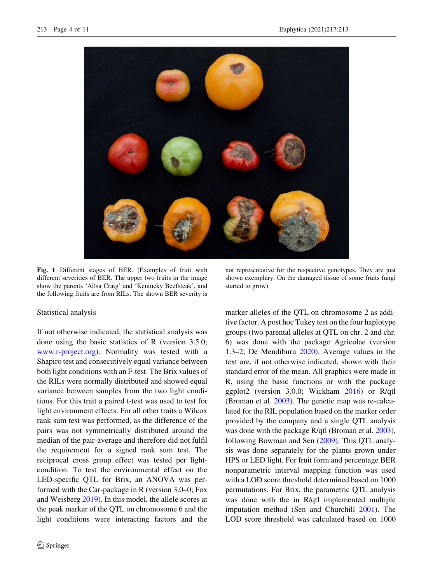<span id="page-3-0"></span>

Fig. 1 Different stages of BER. (Examples of fruit with different severities of BER. The upper two fruits in the image show the parents 'Ailsa Craig' and 'Kentucky Beefsteak', and the following fruits are from RILs. The shown BER severity is

Statistical analysis

If not otherwise indicated, the statistical analysis was done using the basic statistics of R (version 3.5.0; [www.r-project.org](http://www.r-project.org)). Normality was tested with a Shapiro test and consecutively equal variance between both light conditions with an F-test. The Brix values of the RILs were normally distributed and showed equal variance between samples from the two light conditions. For this trait a paired t-test was used to test for light environment effects. For all other traits a Wilcox rank sum test was performed, as the difference of the pairs was not symmetrically distributed around the median of the pair-average and therefore did not fulfil the requirement for a signed rank sum test. The reciprocal cross group effect was tested per lightcondition. To test the environmental effect on the LED-specific QTL for Brix, an ANOVA was performed with the Car-package in R (version 3.0–0; Fox and Weisberg [2019](#page-9-0)). In this model, the allele scores at the peak marker of the QTL on chromosome 6 and the light conditions were interacting factors and the

not representative for the respective genotypes. They are just shown exemplary. On the damaged tissue of some fruits fungi started to grow)

marker alleles of the QTL on chromosome 2 as additive factor. A post hoc Tukey test on the four haplotype groups (two parental alleles at QTL on chr. 2 and chr. 6) was done with the package Agricolae (version 1.3–2; De Mendiburu [2020](#page-10-0)). Average values in the text are, if not otherwise indicated, shown with their standard error of the mean. All graphics were made in R, using the basic functions or with the package ggplot2 (version 3.0.0; Wickham [2016\)](#page-10-0) or R/qtl (Broman et al. [2003](#page-9-0)). The genetic map was re-calculated for the RIL population based on the marker order provided by the company and a single QTL analysis was done with the package R/qtl (Broman et al. [2003](#page-9-0)), following Bowman and Sen ([2009\)](#page-9-0). This QTL analysis was done separately for the plants grown under HPS or LED light. For fruit form and percentage BER nonparametric interval mapping function was used with a LOD score threshold determined based on 1000 permutations. For Brix, the parametric QTL analysis was done with the in R/qtl implemented multiple imputation method (Sen and Churchill [2001\)](#page-10-0). The LOD score threshold was calculated based on 1000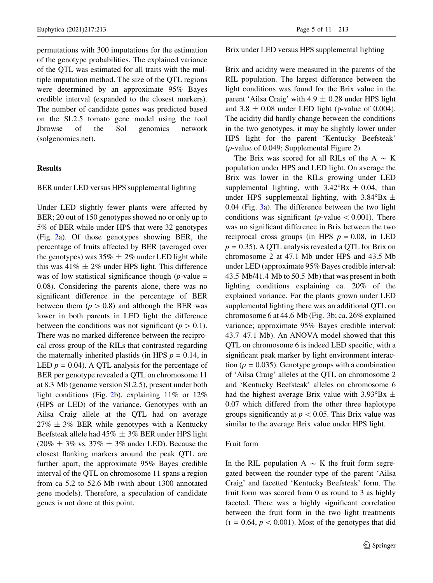permutations with 300 imputations for the estimation of the genotype probabilities. The explained variance of the QTL was estimated for all traits with the multiple imputation method. The size of the QTL regions were determined by an approximate 95% Bayes credible interval (expanded to the closest markers). The number of candidate genes was predicted based on the SL2.5 tomato gene model using the tool Jbrowse of the Sol genomics network (solgenomics.net).

### **Results**

#### BER under LED versus HPS supplemental lighting

Under LED slightly fewer plants were affected by BER; 20 out of 150 genotypes showed no or only up to 5% of BER while under HPS that were 32 genotypes (Fig. [2](#page-5-0)a). Of those genotypes showing BER, the percentage of fruits affected by BER (averaged over the genotypes) was  $35\% \pm 2\%$  under LED light while this was  $41\% \pm 2\%$  under HPS light. This difference was of low statistical significance though ( $p$ -value = 0.08). Considering the parents alone, there was no significant difference in the percentage of BER between them  $(p > 0.8)$  and although the BER was lower in both parents in LED light the difference between the conditions was not significant ( $p > 0.1$ ). There was no marked difference between the reciprocal cross group of the RILs that contrasted regarding the maternally inherited plastids (in HPS  $p = 0.14$ , in LED  $p = 0.04$ ). A QTL analysis for the percentage of BER per genotype revealed a QTL on chromosome 11 at 8.3 Mb (genome version SL2.5), present under both light conditions (Fig. [2](#page-5-0)b), explaining 11% or 12% (HPS or LED) of the variance. Genotypes with an Ailsa Craig allele at the QTL had on average  $27\% \pm 3\%$  BER while genotypes with a Kentucky Beefsteak allele had  $45\% \pm 3\%$  BER under HPS light  $(20\% \pm 3\% \text{ vs. } 37\% \pm 3\% \text{ under LED})$ . Because the closest flanking markers around the peak QTL are further apart, the approximate 95% Bayes credible interval of the QTL on chromosome 11 spans a region from ca 5.2 to 52.6 Mb (with about 1300 annotated gene models). Therefore, a speculation of candidate genes is not done at this point.

#### Brix under LED versus HPS supplemental lighting

Brix and acidity were measured in the parents of the RIL population. The largest difference between the light conditions was found for the Brix value in the parent 'Ailsa Craig' with  $4.9 \pm 0.28$  under HPS light and  $3.8 \pm 0.08$  under LED light (p-value of 0.004). The acidity did hardly change between the conditions in the two genotypes, it may be slightly lower under HPS light for the parent 'Kentucky Beefsteak' (p-value of 0.049; Supplemental Figure 2).

The Brix was scored for all RILs of the A  $\sim K$ population under HPS and LED light. On average the Brix was lower in the RILs growing under LED supplemental lighting, with  $3.42^{\circ}Bx \pm 0.04$ , than under HPS supplemental lighting, with  $3.84^{\circ}Bx \pm$ 0.04 (Fig. [3](#page-6-0)a). The difference between the two light conditions was significant ( $p$ -value  $\lt$  0.001). There was no significant difference in Brix between the two reciprocal cross groups (in HPS  $p = 0.08$ , in LED  $p = 0.35$ ). A QTL analysis revealed a QTL for Brix on chromosome 2 at 47.1 Mb under HPS and 43.5 Mb under LED (approximate 95% Bayes credible interval: 43.5 Mb/41.4 Mb to 50.5 Mb) that was present in both lighting conditions explaining ca. 20% of the explained variance. For the plants grown under LED supplemental lighting there was an additional QTL on chromosome 6 at 44.6 Mb (Fig. [3](#page-6-0)b; ca. 26% explained variance; approximate 95% Bayes credible interval: 43.7–47.1 Mb). An ANOVA model showed that this QTL on chromosome 6 is indeed LED specific, with a significant peak marker by light environment interaction ( $p = 0.035$ ). Genotype groups with a combination of 'Ailsa Craig' alleles at the QTL on chromosome 2 and 'Kentucky Beefsteak' alleles on chromosome 6 had the highest average Brix value with  $3.93^{\circ}Bx \pm$ 0.07 which differed from the other three haplotype groups significantly at  $p < 0.05$ . This Brix value was similar to the average Brix value under HPS light.

## Fruit form

In the RIL population  $A \sim K$  the fruit form segregated between the rounder type of the parent 'Ailsa Craig' and facetted 'Kentucky Beefsteak' form. The fruit form was scored from 0 as round to 3 as highly faceted. There was a highly significant correlation between the fruit form in the two light treatments  $(T = 0.64, p < 0.001)$ . Most of the genotypes that did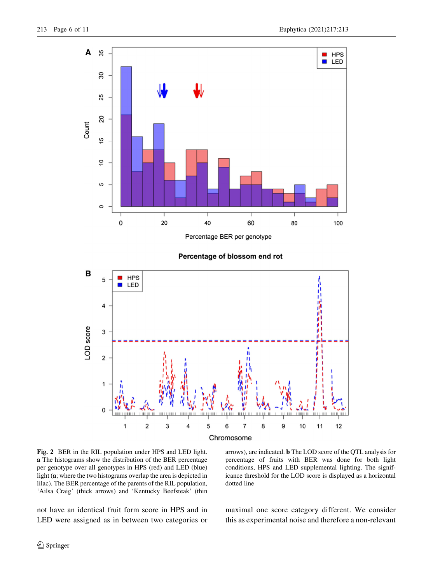<span id="page-5-0"></span>

#### Percentage of blossom end rot



Fig. 2 BER in the RIL population under HPS and LED light. a The histograms show the distribution of the BER percentage per genotype over all genotypes in HPS (red) and LED (blue) light (a; where the two histograms overlap the area is depicted in lilac). The BER percentage of the parents of the RIL population, 'Ailsa Craig' (thick arrows) and 'Kentucky Beefsteak' (thin

arrows), are indicated. b The LOD score of the QTL analysis for percentage of fruits with BER was done for both light conditions, HPS and LED supplemental lighting. The significance threshold for the LOD score is displayed as a horizontal dotted line

not have an identical fruit form score in HPS and in LED were assigned as in between two categories or maximal one score category different. We consider this as experimental noise and therefore a non-relevant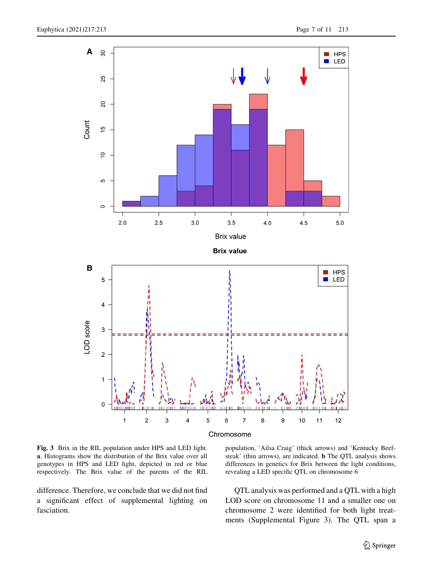<span id="page-6-0"></span>

Fig. 3 Brix in the RIL population under HPS and LED light. a. Histograms show the distribution of the Brix value over all genotypes in HPS and LED light, depicted in red or blue respectively. The Brix value of the parents of the RIL

difference. Therefore, we conclude that we did not find a significant effect of supplemental lighting on fasciation.

population, 'Ailsa Craig' (thick arrows) and 'Kentucky Beefsteak' (thin arrows), are indicated. b The QTL analysis shows differences in genetics for Brix between the light conditions, revealing a LED specific QTL on chromosome 6

QTL analysis was performed and a QTL with a high LOD score on chromosome 11 and a smaller one on chromosome 2 were identified for both light treatments (Supplemental Figure 3). The QTL span a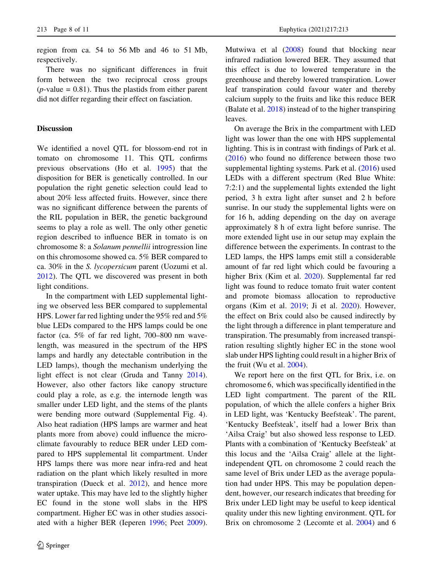region from ca. 54 to 56 Mb and 46 to 51 Mb, respectively.

There was no significant differences in fruit form between the two reciprocal cross groups  $(p$ -value = 0.81). Thus the plastids from either parent did not differ regarding their effect on fasciation.

# Discussion

We identified a novel QTL for blossom-end rot in tomato on chromosome 11. This QTL confirms previous observations (Ho et al. [1995\)](#page-9-0) that the disposition for BER is genetically controlled. In our population the right genetic selection could lead to about 20% less affected fruits. However, since there was no significant difference between the parents of the RIL population in BER, the genetic background seems to play a role as well. The only other genetic region described to influence BER in tomato is on chromosome 8: a Solanum pennellii introgression line on this chromosome showed ca. 5% BER compared to ca. 30% in the S. lycopersicum parent (Uozumi et al. [2012\)](#page-10-0). The QTL we discovered was present in both light conditions.

In the compartment with LED supplemental lighting we observed less BER compared to supplemental HPS. Lower far red lighting under the 95% red and 5% blue LEDs compared to the HPS lamps could be one factor (ca. 5% of far red light, 700–800 nm wavelength, was measured in the spectrum of the HPS lamps and hardly any detectable contribution in the LED lamps), though the mechanism underlying the light effect is not clear (Gruda and Tanny [2014](#page-9-0)). However, also other factors like canopy structure could play a role, as e.g. the internode length was smaller under LED light, and the stems of the plants were bending more outward (Supplemental Fig. 4). Also heat radiation (HPS lamps are warmer and heat plants more from above) could influence the microclimate favourably to reduce BER under LED compared to HPS supplemental lit compartment. Under HPS lamps there was more near infra-red and heat radiation on the plant which likely resulted in more transpiration (Dueck et al. [2012](#page-9-0)), and hence more water uptake. This may have led to the slightly higher EC found in the stone woll slabs in the HPS compartment. Higher EC was in other studies associated with a higher BER (Ieperen [1996](#page-9-0); Peet [2009](#page-10-0)). Mutwiwa et al [\(2008](#page-10-0)) found that blocking near infrared radiation lowered BER. They assumed that this effect is due to lowered temperature in the greenhouse and thereby lowered transpiration. Lower leaf transpiration could favour water and thereby calcium supply to the fruits and like this reduce BER (Balate et al. [2018\)](#page-9-0) instead of to the higher transpiring leaves.

On average the Brix in the compartment with LED light was lower than the one with HPS supplemental lighting. This is in contrast with findings of Park et al. [\(2016](#page-10-0)) who found no difference between those two supplemental lighting systems. Park et al. [\(2016](#page-10-0)) used LEDs with a different spectrum (Red Blue White: 7:2:1) and the supplemental lights extended the light period, 3 h extra light after sunset and 2 h before sunrise. In our study the supplemental lights were on for 16 h, adding depending on the day on average approximately 8 h of extra light before sunrise. The more extended light use in our setup may explain the difference between the experiments. In contrast to the LED lamps, the HPS lamps emit still a considerable amount of far red light which could be favouring a higher Brix (Kim et al. [2020\)](#page-9-0). Supplemental far red light was found to reduce tomato fruit water content and promote biomass allocation to reproductive organs (Kim et al. [2019](#page-9-0); Ji et al. [2020](#page-9-0)). However, the effect on Brix could also be caused indirectly by the light through a difference in plant temperature and transpiration. The presumably from increased transpiration resulting slightly higher EC in the stone wool slab under HPS lighting could result in a higher Brix of the fruit (Wu et al. [2004](#page-10-0)).

We report here on the first QTL for Brix, i.e. on chromosome 6, which was specifically identified in the LED light compartment. The parent of the RIL population, of which the allele confers a higher Brix in LED light, was 'Kentucky Beefsteak'. The parent, 'Kentucky Beefsteak', itself had a lower Brix than 'Ailsa Craig' but also showed less response to LED. Plants with a combination of 'Kentucky Beefsteak' at this locus and the 'Ailsa Craig' allele at the lightindependent QTL on chromosome 2 could reach the same level of Brix under LED as the average population had under HPS. This may be population dependent, however, our research indicates that breeding for Brix under LED light may be useful to keep identical quality under this new lighting environment. QTL for Brix on chromosome 2 (Lecomte et al. [2004](#page-9-0)) and 6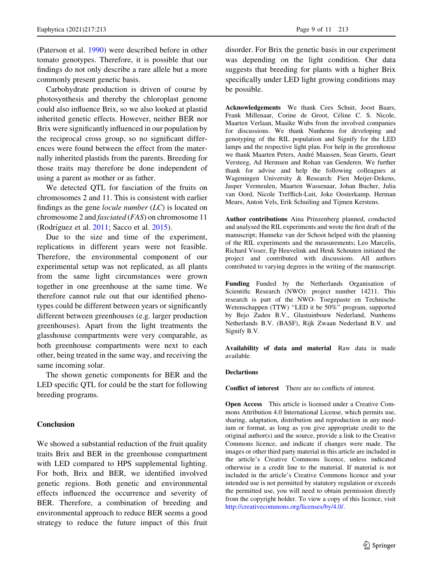(Paterson et al. [1990](#page-10-0)) were described before in other tomato genotypes. Therefore, it is possible that our findings do not only describe a rare allele but a more commonly present genetic basis.

Carbohydrate production is driven of course by photosynthesis and thereby the chloroplast genome could also influence Brix, so we also looked at plastid inherited genetic effects. However, neither BER nor Brix were significantly influenced in our population by the reciprocal cross group, so no significant differences were found between the effect from the maternally inherited plastids from the parents. Breeding for those traits may therefore be done independent of using a parent as mother or as father.

We detected QTL for fasciation of the fruits on chromosomes 2 and 11. This is consistent with earlier findings as the gene *locule number*  $(LC)$  is located on chromosome 2 and fasciated (FAS) on chromosome 11 (Rodríguez et al.  $2011$ ; Sacco et al.  $2015$ ).

Due to the size and time of the experiment, replications in different years were not feasible. Therefore, the environmental component of our experimental setup was not replicated, as all plants from the same light circumstances were grown together in one greenhouse at the same time. We therefore cannot rule out that our identified phenotypes could be different between years or significantly different between greenhouses (e.g. larger production greenhouses). Apart from the light treatments the glasshouse compartments were very comparable, as both greenhouse compartments were next to each other, being treated in the same way, and receiving the same incoming solar.

The shown genetic components for BER and the LED specific QTL for could be the start for following breeding programs.

# Conclusion

We showed a substantial reduction of the fruit quality traits Brix and BER in the greenhouse compartment with LED compared to HPS supplemental lighting. For both, Brix and BER, we identified involved genetic regions. Both genetic and environmental effects influenced the occurrence and severity of BER. Therefore, a combination of breeding and environmental approach to reduce BER seems a good strategy to reduce the future impact of this fruit

disorder. For Brix the genetic basis in our experiment was depending on the light condition. Our data suggests that breeding for plants with a higher Brix specifically under LED light growing conditions may be possible.

Acknowledgements We thank Cees Schuit, Joost Baars, Frank Millenaar, Corine de Groot, Céline C. S. Nicole, Maarten Verlaan, Maaike Wubs from the involved companies for discussions. We thank Nunhems for developing and genotyping of the RIL population and Signify for the LED lamps and the respective light plan. For help in the greenhouse we thank Maarten Peters, André Maassen, Sean Geurts, Geurt Versteeg, Ad Hermsen and Rohan van Genderen. We further thank for advise and help the following colleagues at Wageningen University & Research: Fien Meijer-Dekens, Jasper Vermeulen, Maarten Wassenaar, Johan Bucher, Julia van Oord, Nicole Trefflich-Luit, Joke Oosterkamp, Herman Meurs, Anton Vels, Erik Schuiling and Tijmen Kerstens.

Author contributions Aina Prinzenberg planned, conducted and analysed the RIL experiments and wrote the first draft of the manuscript; Hanneke van der Schoot helped with the planning of the RIL experiments and the measurements; Leo Marcelis, Richard Visser, Ep Heuvelink and Henk Schouten initiated the project and contributed with discussions. All authors contributed to varying degrees in the writing of the manuscript.

Funding Funded by the Netherlands Organisation of Scientific Research (NWO): project number 14211. This research is part of the NWO- Toegepaste en Technische Wetenschappen (TTW) "LED it be 50%" program, supported by Bejo Zaden B.V., Glastuinbouw Nederland, Nunhems Netherlands B.V. (BASF), Rijk Zwaan Nederland B.V. and Signify B.V.

Availability of data and material Raw data in made available.

## **Declartions**

Conflict of interest There are no conflicts of interest.

Open Access This article is licensed under a Creative Commons Attribution 4.0 International License, which permits use, sharing, adaptation, distribution and reproduction in any medium or format, as long as you give appropriate credit to the original author(s) and the source, provide a link to the Creative Commons licence, and indicate if changes were made. The images or other third party material in this article are included in the article's Creative Commons licence, unless indicated otherwise in a credit line to the material. If material is not included in the article's Creative Commons licence and your intended use is not permitted by statutory regulation or exceeds the permitted use, you will need to obtain permission directly from the copyright holder. To view a copy of this licence, visit <http://creativecommons.org/licenses/by/4.0/>.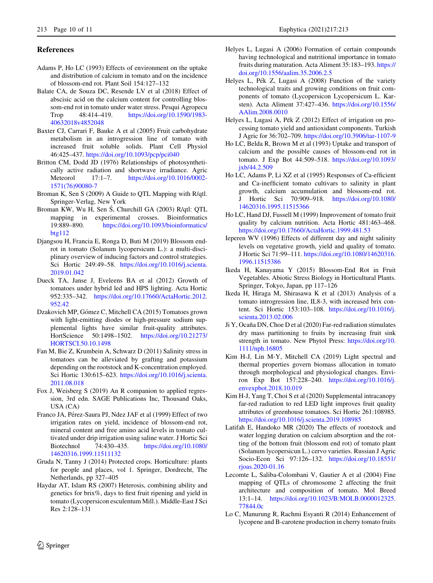#### <span id="page-9-0"></span>References

- Adams P, Ho LC (1993) Effects of environment on the uptake and distribution of calcium in tomato and on the incidence of blossom-end rot. Plant Soil 154:127–132
- Balate CA, de Souza DC, Resende LV et al (2018) Effect of abscisic acid on the calcium content for controlling blossom-end rot in tomato under water stress. Pesqui Agropecu<br>Trop 48:414-419. https://doi.org/10.1590/198348:414–419. [https://doi.org/10.1590/1983-](https://doi.org/10.1590/1983-40632018v4852048) [40632018v4852048](https://doi.org/10.1590/1983-40632018v4852048)
- Baxter CJ, Carrari F, Bauke A et al (2005) Fruit carbohydrate metabolism in an introgression line of tomato with increased fruit soluble solids. Plant Cell Physiol 46:425–437. <https://doi.org/10.1093/pcp/pci040>
- Britton CM, Dodd JD (1976) Relationships of photosynthetically active radiation and shortwave irradiance. Agric Meteorol 17:1–7. [https://doi.org/10.1016/0002-](https://doi.org/10.1016/0002-1571(76)90080-7) [1571\(76\)90080-7](https://doi.org/10.1016/0002-1571(76)90080-7)
- Broman K, Sen S (2009) A Guide to QTL Mapping with R/qtl. Springer-Verlag, New York
- Broman KW, Wu H, Sen S, Churchill GA (2003) R/qtl: QTL mapping in experimental crosses. Bioinformatics 19:889–890. [https://doi.org/10.1093/bioinformatics/](https://doi.org/10.1093/bioinformatics/btg112) [btg112](https://doi.org/10.1093/bioinformatics/btg112)
- Djangsou H, Francia E, Ronga D, Buti M (2019) Blossom endrot in tomato (Solanum lycopersicum L.): a multi-disciplinary overview of inducing factors and control strategies. Sci Hortic 249:49–58. [https://doi.org/10.1016/j.scienta.](https://doi.org/10.1016/j.scienta.2019.01.042) [2019.01.042](https://doi.org/10.1016/j.scienta.2019.01.042)
- Dueck TA, Janse J, Eveleens BA et al (2012) Growth of tomatoes under hybrid led and HPS lighting. Acta Hortic 952:335–342. [https://doi.org/10.17660/ActaHortic.2012.](https://doi.org/10.17660/ActaHortic.2012.952.42) [952.42](https://doi.org/10.17660/ActaHortic.2012.952.42)
- Dzakovich MP, Gómez C, Mitchell CA (2015) Tomatoes grown with light-emitting diodes or high-pressure sodium supplemental lights have similar fruit-quality attributes. HortScience 50:1498–1502. [https://doi.org/10.21273/](https://doi.org/10.21273/HORTSCI.50.10.1498) [HORTSCI.50.10.1498](https://doi.org/10.21273/HORTSCI.50.10.1498)
- Fan M, Bie Z, Krumbein A, Schwarz D (2011) Salinity stress in tomatoes can be alleviated by grafting and potassium depending on the rootstock and K-concentration employed. Sci Hortic 130:615–623. [https://doi.org/10.1016/j.scienta.](https://doi.org/10.1016/j.scienta.2011.08.018) [2011.08.018](https://doi.org/10.1016/j.scienta.2011.08.018)
- Fox J, Weisberg S (2019) An R companion to applied regression, 3rd edn. SAGE Publications Inc, Thousand Oaks, USA (CA)
- Franco JA, Pérez-Saura PJ, Ndez JAF et al (1999) Effect of two irrigation rates on yield, incidence of blossom-end rot, mineral content and free amino acid levels in tomato cultivated under drip irrigation using saline water. J Hortic Sci Biotechnol 74:430–435. [https://doi.org/10.1080/](https://doi.org/10.1080/14620316.1999.11511132) [14620316.1999.11511132](https://doi.org/10.1080/14620316.1999.11511132)
- Gruda N, Tanny J (2014) Protected crops. Horticulture: plants for people and places, vol 1. Springer, Dordrecht, The Netherlands, pp 327–405
- Haydar AT, Islam RS (2007) Heterosis, combining ability and genetics for brix%, days to first fruit ripening and yield in tomato (Lycopersicon esculentum Mill.). Middle-East J Sci Res 2:128–131
- Helyes L, Lugasi A (2006) Formation of certain compounds having technological and nutritional importance in tomato fruits during maturation. Acta Aliment 35:183–193. [https://](https://doi.org/10.1556/aalim.35.2006.2.5) [doi.org/10.1556/aalim.35.2006.2.5](https://doi.org/10.1556/aalim.35.2006.2.5)
- Helyes L, Pék Z, Lugasi A (2008) Function of the variety technological traits and growing conditions on fruit components of tomato (Lycopersicon Lycopersicum L. Karsten). Acta Aliment 37:427–436. [https://doi.org/10.1556/](https://doi.org/10.1556/AAlim.2008.0010) [AAlim.2008.0010](https://doi.org/10.1556/AAlim.2008.0010)
- Helyes L, Lugasi A, Pék Z (2012) Effect of irrigation on processing tomato yield and antioxidant components. Turkish J Agric for 36:702–709. <https://doi.org/10.3906/tar-1107-9>
- Ho LC, Belda R, Brown M et al (1993) Uptake and transport of calcium and the possible causes of blossom-end rot in tomato. J Exp Bot 44:509–518. [https://doi.org/10.1093/](https://doi.org/10.1093/jxb/44.2.509) [jxb/44.2.509](https://doi.org/10.1093/jxb/44.2.509)
- Ho LC, Adams P, Li XZ et al (1995) Responses of Ca-efficient and Ca-inefficient tomato cultivars to salinity in plant growth, calcium accumulation and blossom-end rot. J Hortic Sci 70:909–918. [https://doi.org/10.1080/](https://doi.org/10.1080/14620316.1995.11515366) [14620316.1995.11515366](https://doi.org/10.1080/14620316.1995.11515366)
- Ho LC, Hand DJ, Fussell M (1999) Improvement of tomato fruit quality by calcium nutrition. Acta Hortic 481:463–468. <https://doi.org/10.17660/ActaHortic.1999.481.53>
- Ieperen WV (1996) Effects of different day and night salinity levels on vegetative growth, yield and quality of tomato. J Hortic Sci 71:99–111. [https://doi.org/10.1080/14620316.](https://doi.org/10.1080/14620316.1996.11515386) [1996.11515386](https://doi.org/10.1080/14620316.1996.11515386)
- Ikeda H, Kanayama Y (2015) Blossom-End Rot in Fruit Vegetables. Abiotic Stress Biology in Horticultural Plants. Springer, Tokyo, Japan, pp 117–126
- Ikeda H, Hiraga M, Shirasawa K et al (2013) Analysis of a tomato introgression line, IL8-3, with increased brix content. Sci Hortic 153:103–108. [https://doi.org/10.1016/j.](https://doi.org/10.1016/j.scienta.2013.02.006) [scienta.2013.02.006](https://doi.org/10.1016/j.scienta.2013.02.006)
- Ji Y, Ocaña DN, Choe D et al (2020) Far-red radiation stimulates dry mass partitioning to fruits by increasing fruit sink strength in tomato. New Phytol Press: [https://doi.org/10.](https://doi.org/10.1111/nph.16805) [1111/nph.16805](https://doi.org/10.1111/nph.16805)
- Kim H-J, Lin M-Y, Mitchell CA (2019) Light spectral and thermal properties govern biomass allocation in tomato through morphological and physiological changes. Environ Exp Bot 157:228–240. [https://doi.org/10.1016/j.](https://doi.org/10.1016/j.envexpbot.2018.10.019) [envexpbot.2018.10.019](https://doi.org/10.1016/j.envexpbot.2018.10.019)
- Kim H-J, Yang T, Choi S et al (2020) Supplemental intracanopy far-red radiation to red LED light improves fruit quality attributes of greenhouse tomatoes. Sci Hortic 261:108985. <https://doi.org/10.1016/j.scienta.2019.108985>
- Latifah E, Handoko MR (2020) The effects of rootstock and water logging duration on calcium absorption and the rotting of the bottom fruit (blossom end rot) of tomato plant (Solanum lycopersicun L.) cervo varieties. Russian J Agric Socio-Econ Sci 97:126–132. [https://doi.org/10.18551/](https://doi.org/10.18551/rjoas.2020-01.16) [rjoas.2020-01.16](https://doi.org/10.18551/rjoas.2020-01.16)
- Lecomte L, Saliba-Colombani V, Gautier A et al (2004) Fine mapping of QTLs of chromosome 2 affecting the fruit architecture and composition of tomato. Mol Breed 13:1–14. [https://doi.org/10.1023/B:MOLB.0000012325.](https://doi.org/10.1023/B:MOLB.0000012325.77844.0c) [77844.0c](https://doi.org/10.1023/B:MOLB.0000012325.77844.0c)
- Lo C, Manurung R, Rachmi Esyanti R (2014) Enhancement of lycopene and B-carotene production in cherry tomato fruits